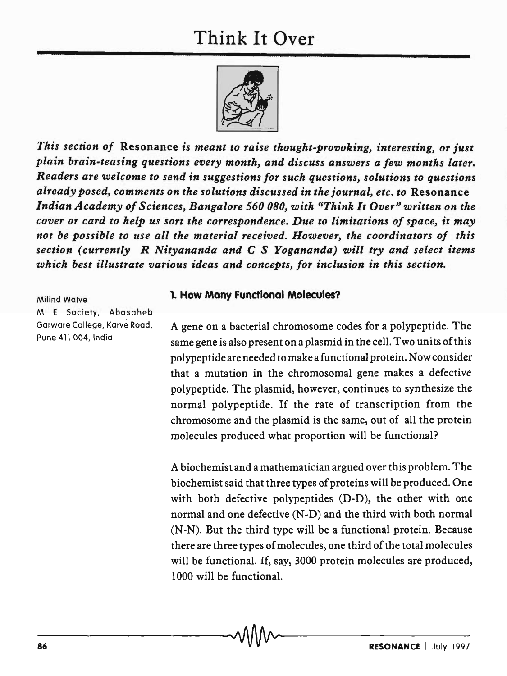## Think It Over



*This section of* Resonance *is meant to raise thought-provoking, interesting, or just plain brain-teasing questions every month, and discuss answers a few months later. Readers are welcome to send in suggestions for such questions, solutions to questions already posed, comments on the solutions discussed in the journal, etc. to* Resonance Indian Academy of Sciences, Bangalore 560 080, with "Think It Over" written on the *cover or card to help us sort the correspondence. Due to limitations of space, it may not be possible to use all the material received. However, the coordinators of this section (currently R Nityananda and* C *S Yogananda) will try and select items which best illustrate various ideas and concepts, for inclusion in this section.* 

Milind Watve

M E Society, Abasaheb Garware College, Karve Road, Pune 411 004, India.

## 1. How Many Functional Molecules?

A gene on a bacterial chromosome codes for a polypeptide. The same gene is also present on a plasmid in the cell. Two units of this polypeptide are needed to make a functional protein. Now consider that a mutation in the chromosomal gene makes a defective polypeptide. The plasmid, however, continues to synthesize the normal polypeptide. If the rate of transcription from the chromosome and the plasmid is the same, out of all the protein molecules produced what proportion will be functional?

A biochemist and a mathematician argued over this problem. The biochemist said that three types of proteins will be produced. One with both defective polypeptides (D-D), the other with one normal and one defective (N-D) and the third with both normal (N-N). But the third type will be a functional protein. Because there are three types of molecules, one third of the total molecules will be functional. If, say, 3000 protein molecules are produced, 1000 will be functional.